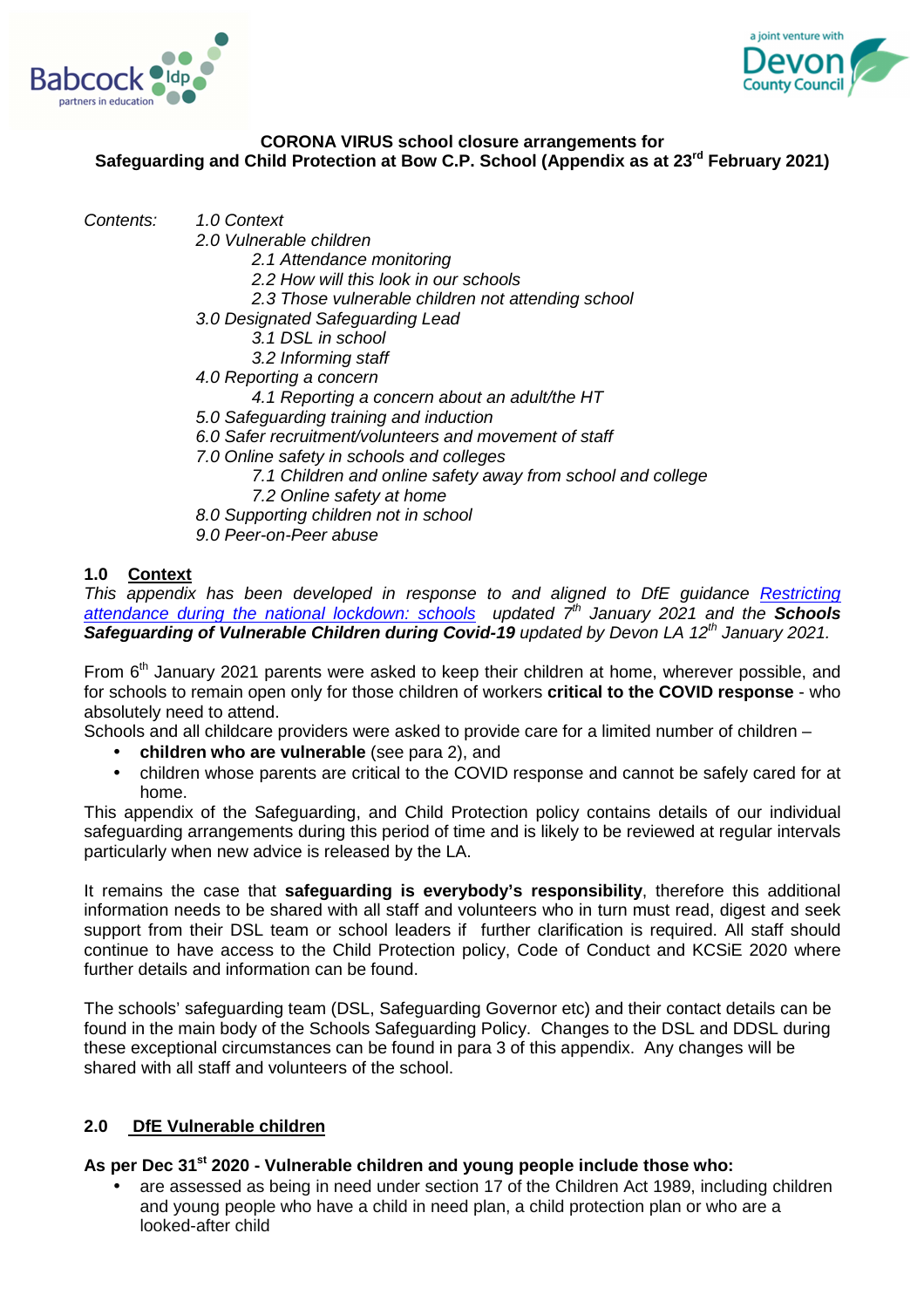



## **CORONA VIRUS school closure arrangements for Safeguarding and Child Protection at Bow C.P. School (Appendix as at 23rd February 2021)**

Contents: 1.0 Context

- 2.0 Vulnerable children
	- 2.1 Attendance monitoring
	- 2.2 How will this look in our schools
	- 2.3 Those vulnerable children not attending school
- 3.0 Designated Safeguarding Lead
	- 3.1 DSL in school
	- 3.2 Informing staff
- 4.0 Reporting a concern
	- 4.1 Reporting a concern about an adult/the HT
- 5.0 Safeguarding training and induction
- 6.0 Safer recruitment/volunteers and movement of staff
- 7.0 Online safety in schools and colleges
	- 7.1 Children and online safety away from school and college
	- 7.2 Online safety at home
- 8.0 Supporting children not in school
- 9.0 Peer-on-Peer abuse

## **1.0 Context**

This appendix has been developed in response to and aligned to DfE guidance Restricting attendance during the national lockdown: schools updated 7<sup>th</sup> January 2021 and the **Schools Safeguarding of Vulnerable Children during Covid-19** updated by Devon LA 12<sup>th</sup> January 2021.

From  $6<sup>th</sup>$  January 2021 parents were asked to keep their children at home, wherever possible, and for schools to remain open only for those children of workers **critical to the COVID response** - who absolutely need to attend.

Schools and all childcare providers were asked to provide care for a limited number of children –

- **children who are vulnerable** (see para 2), and
- children whose parents are critical to the COVID response and cannot be safely cared for at home.

This appendix of the Safeguarding, and Child Protection policy contains details of our individual safeguarding arrangements during this period of time and is likely to be reviewed at regular intervals particularly when new advice is released by the LA.

It remains the case that **safeguarding is everybody's responsibility**, therefore this additional information needs to be shared with all staff and volunteers who in turn must read, digest and seek support from their DSL team or school leaders if further clarification is required. All staff should continue to have access to the Child Protection policy, Code of Conduct and KCSiE 2020 where further details and information can be found.

The schools' safeguarding team (DSL, Safeguarding Governor etc) and their contact details can be found in the main body of the Schools Safeguarding Policy. Changes to the DSL and DDSL during these exceptional circumstances can be found in para 3 of this appendix. Any changes will be shared with all staff and volunteers of the school.

# **2.0 DfE Vulnerable children**

### **As per Dec 31st 2020 - Vulnerable children and young people include those who:**

• are assessed as being in need under section 17 of the Children Act 1989, including children and young people who have a child in need plan, a child protection plan or who are a looked-after child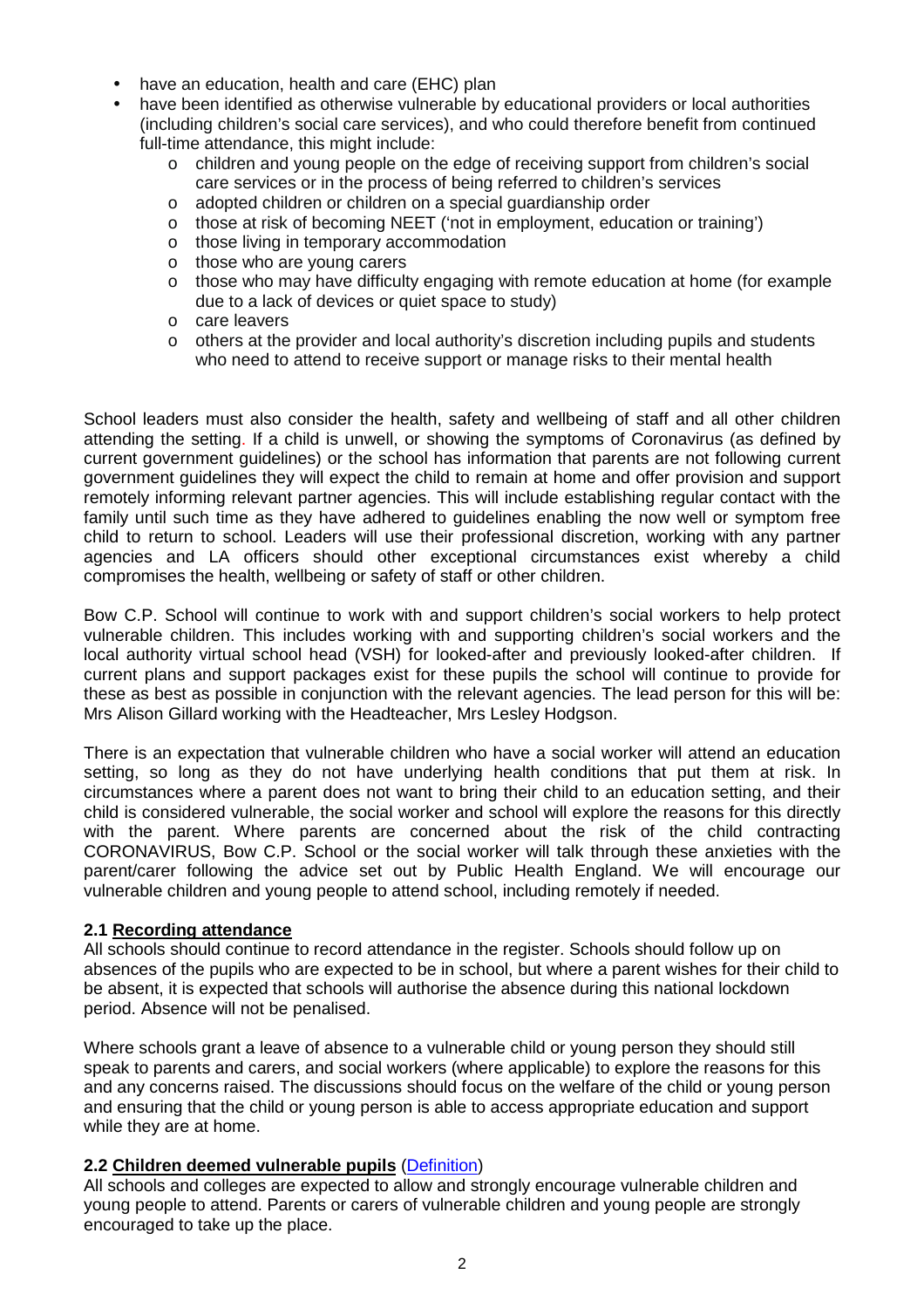- have an education, health and care (EHC) plan
- have been identified as otherwise vulnerable by educational providers or local authorities (including children's social care services), and who could therefore benefit from continued full-time attendance, this might include:
	- o children and young people on the edge of receiving support from children's social care services or in the process of being referred to children's services
	- o adopted children or children on a special guardianship order
	- o those at risk of becoming NEET ('not in employment, education or training')
	- o those living in temporary accommodation
	- o those who are young carers
	- o those who may have difficulty engaging with remote education at home (for example due to a lack of devices or quiet space to study)
	- o care leavers
	- o others at the provider and local authority's discretion including pupils and students who need to attend to receive support or manage risks to their mental health

School leaders must also consider the health, safety and wellbeing of staff and all other children attending the setting. If a child is unwell, or showing the symptoms of Coronavirus (as defined by current government guidelines) or the school has information that parents are not following current government guidelines they will expect the child to remain at home and offer provision and support remotely informing relevant partner agencies. This will include establishing regular contact with the family until such time as they have adhered to guidelines enabling the now well or symptom free child to return to school. Leaders will use their professional discretion, working with any partner agencies and LA officers should other exceptional circumstances exist whereby a child compromises the health, wellbeing or safety of staff or other children.

Bow C.P. School will continue to work with and support children's social workers to help protect vulnerable children. This includes working with and supporting children's social workers and the local authority virtual school head (VSH) for looked-after and previously looked-after children. If current plans and support packages exist for these pupils the school will continue to provide for these as best as possible in conjunction with the relevant agencies. The lead person for this will be: Mrs Alison Gillard working with the Headteacher, Mrs Lesley Hodgson.

There is an expectation that vulnerable children who have a social worker will attend an education setting, so long as they do not have underlying health conditions that put them at risk. In circumstances where a parent does not want to bring their child to an education setting, and their child is considered vulnerable, the social worker and school will explore the reasons for this directly with the parent. Where parents are concerned about the risk of the child contracting CORONAVIRUS, Bow C.P. School or the social worker will talk through these anxieties with the parent/carer following the advice set out by Public Health England. We will encourage our vulnerable children and young people to attend school, including remotely if needed.

# **2.1 Recording attendance**

All schools should continue to record attendance in the register. Schools should follow up on absences of the pupils who are expected to be in school, but where a parent wishes for their child to be absent, it is expected that schools will authorise the absence during this national lockdown period. Absence will not be penalised.

Where schools grant a leave of absence to a vulnerable child or young person they should still speak to parents and carers, and social workers (where applicable) to explore the reasons for this and any concerns raised. The discussions should focus on the welfare of the child or young person and ensuring that the child or young person is able to access appropriate education and support while they are at home.

### **2.2 Children deemed vulnerable pupils** (Definition)

All schools and colleges are expected to allow and strongly encourage vulnerable children and young people to attend. Parents or carers of vulnerable children and young people are strongly encouraged to take up the place.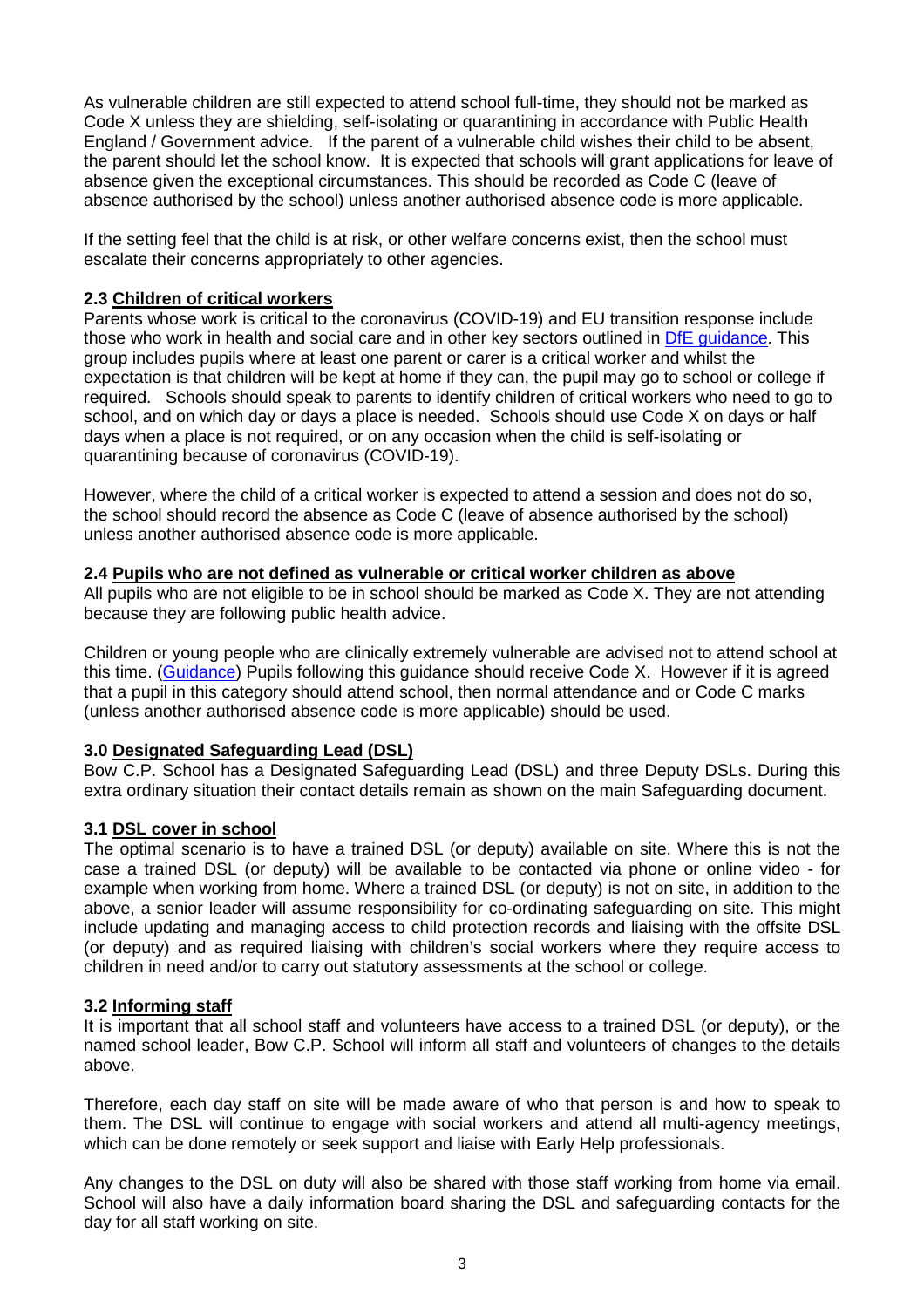As vulnerable children are still expected to attend school full-time, they should not be marked as Code X unless they are shielding, self-isolating or quarantining in accordance with Public Health England / Government advice. If the parent of a vulnerable child wishes their child to be absent, the parent should let the school know. It is expected that schools will grant applications for leave of absence given the exceptional circumstances. This should be recorded as Code C (leave of absence authorised by the school) unless another authorised absence code is more applicable.

If the setting feel that the child is at risk, or other welfare concerns exist, then the school must escalate their concerns appropriately to other agencies.

### **2.3 Children of critical workers**

Parents whose work is critical to the coronavirus (COVID-19) and EU transition response include those who work in health and social care and in other key sectors outlined in DfE guidance. This group includes pupils where at least one parent or carer is a critical worker and whilst the expectation is that children will be kept at home if they can, the pupil may go to school or college if required. Schools should speak to parents to identify children of critical workers who need to go to school, and on which day or days a place is needed. Schools should use Code X on days or half days when a place is not required, or on any occasion when the child is self-isolating or quarantining because of coronavirus (COVID-19).

However, where the child of a critical worker is expected to attend a session and does not do so, the school should record the absence as Code C (leave of absence authorised by the school) unless another authorised absence code is more applicable.

#### **2.4 Pupils who are not defined as vulnerable or critical worker children as above**

All pupils who are not eligible to be in school should be marked as Code X. They are not attending because they are following public health advice.

Children or young people who are clinically extremely vulnerable are advised not to attend school at this time. (Guidance) Pupils following this guidance should receive Code X. However if it is agreed that a pupil in this category should attend school, then normal attendance and or Code C marks (unless another authorised absence code is more applicable) should be used.

#### **3.0 Designated Safeguarding Lead (DSL)**

Bow C.P. School has a Designated Safeguarding Lead (DSL) and three Deputy DSLs. During this extra ordinary situation their contact details remain as shown on the main Safeguarding document.

#### **3.1 DSL cover in school**

The optimal scenario is to have a trained DSL (or deputy) available on site. Where this is not the case a trained DSL (or deputy) will be available to be contacted via phone or online video - for example when working from home. Where a trained DSL (or deputy) is not on site, in addition to the above, a senior leader will assume responsibility for co-ordinating safeguarding on site. This might include updating and managing access to child protection records and liaising with the offsite DSL (or deputy) and as required liaising with children's social workers where they require access to children in need and/or to carry out statutory assessments at the school or college.

#### **3.2 Informing staff**

It is important that all school staff and volunteers have access to a trained DSL (or deputy), or the named school leader, Bow C.P. School will inform all staff and volunteers of changes to the details above.

Therefore, each day staff on site will be made aware of who that person is and how to speak to them. The DSL will continue to engage with social workers and attend all multi-agency meetings, which can be done remotely or seek support and liaise with Early Help professionals.

Any changes to the DSL on duty will also be shared with those staff working from home via email. School will also have a daily information board sharing the DSL and safeguarding contacts for the day for all staff working on site.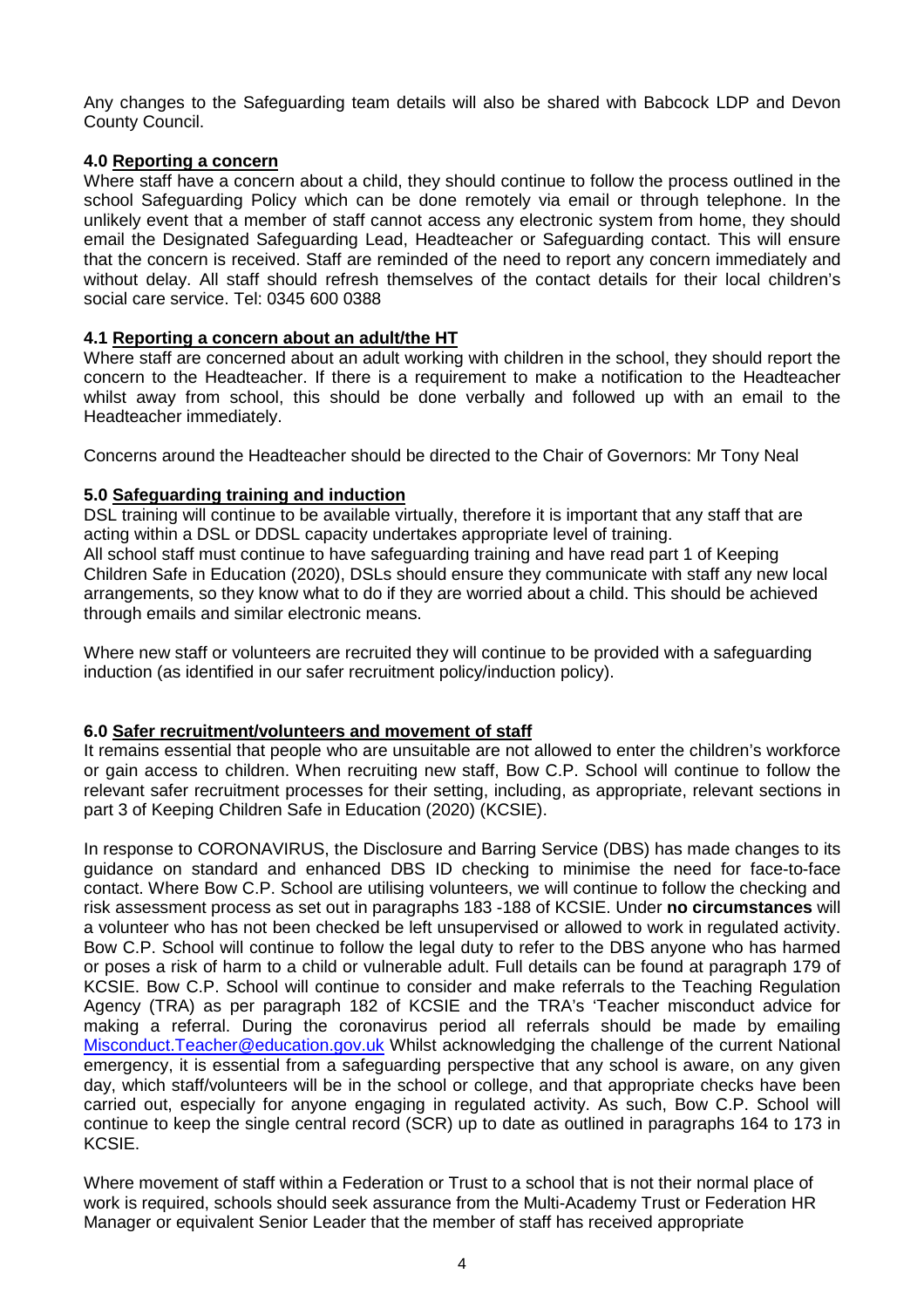Any changes to the Safeguarding team details will also be shared with Babcock LDP and Devon County Council.

### **4.0 Reporting a concern**

Where staff have a concern about a child, they should continue to follow the process outlined in the school Safeguarding Policy which can be done remotely via email or through telephone. In the unlikely event that a member of staff cannot access any electronic system from home, they should email the Designated Safeguarding Lead, Headteacher or Safeguarding contact. This will ensure that the concern is received. Staff are reminded of the need to report any concern immediately and without delay. All staff should refresh themselves of the contact details for their local children's social care service. Tel: 0345 600 0388

## **4.1 Reporting a concern about an adult/the HT**

Where staff are concerned about an adult working with children in the school, they should report the concern to the Headteacher. If there is a requirement to make a notification to the Headteacher whilst away from school, this should be done verbally and followed up with an email to the Headteacher immediately.

Concerns around the Headteacher should be directed to the Chair of Governors: Mr Tony Neal

## **5.0 Safeguarding training and induction**

DSL training will continue to be available virtually, therefore it is important that any staff that are acting within a DSL or DDSL capacity undertakes appropriate level of training. All school staff must continue to have safeguarding training and have read part 1 of Keeping Children Safe in Education (2020), DSLs should ensure they communicate with staff any new local arrangements, so they know what to do if they are worried about a child. This should be achieved through emails and similar electronic means.

Where new staff or volunteers are recruited they will continue to be provided with a safeguarding induction (as identified in our safer recruitment policy/induction policy).

### **6.0 Safer recruitment/volunteers and movement of staff**

It remains essential that people who are unsuitable are not allowed to enter the children's workforce or gain access to children. When recruiting new staff, Bow C.P. School will continue to follow the relevant safer recruitment processes for their setting, including, as appropriate, relevant sections in part 3 of Keeping Children Safe in Education (2020) (KCSIE).

In response to CORONAVIRUS, the Disclosure and Barring Service (DBS) has made changes to its guidance on standard and enhanced DBS ID checking to minimise the need for face-to-face contact. Where Bow C.P. School are utilising volunteers, we will continue to follow the checking and risk assessment process as set out in paragraphs 183 -188 of KCSIE. Under **no circumstances** will a volunteer who has not been checked be left unsupervised or allowed to work in regulated activity. Bow C.P. School will continue to follow the legal duty to refer to the DBS anyone who has harmed or poses a risk of harm to a child or vulnerable adult. Full details can be found at paragraph 179 of KCSIE. Bow C.P. School will continue to consider and make referrals to the Teaching Regulation Agency (TRA) as per paragraph 182 of KCSIE and the TRA's 'Teacher misconduct advice for making a referral. During the coronavirus period all referrals should be made by emailing Misconduct.Teacher@education.gov.uk Whilst acknowledging the challenge of the current National emergency, it is essential from a safeguarding perspective that any school is aware, on any given day, which staff/volunteers will be in the school or college, and that appropriate checks have been carried out, especially for anyone engaging in regulated activity. As such, Bow C.P. School will continue to keep the single central record (SCR) up to date as outlined in paragraphs 164 to 173 in KCSIE.

Where movement of staff within a Federation or Trust to a school that is not their normal place of work is required, schools should seek assurance from the Multi-Academy Trust or Federation HR Manager or equivalent Senior Leader that the member of staff has received appropriate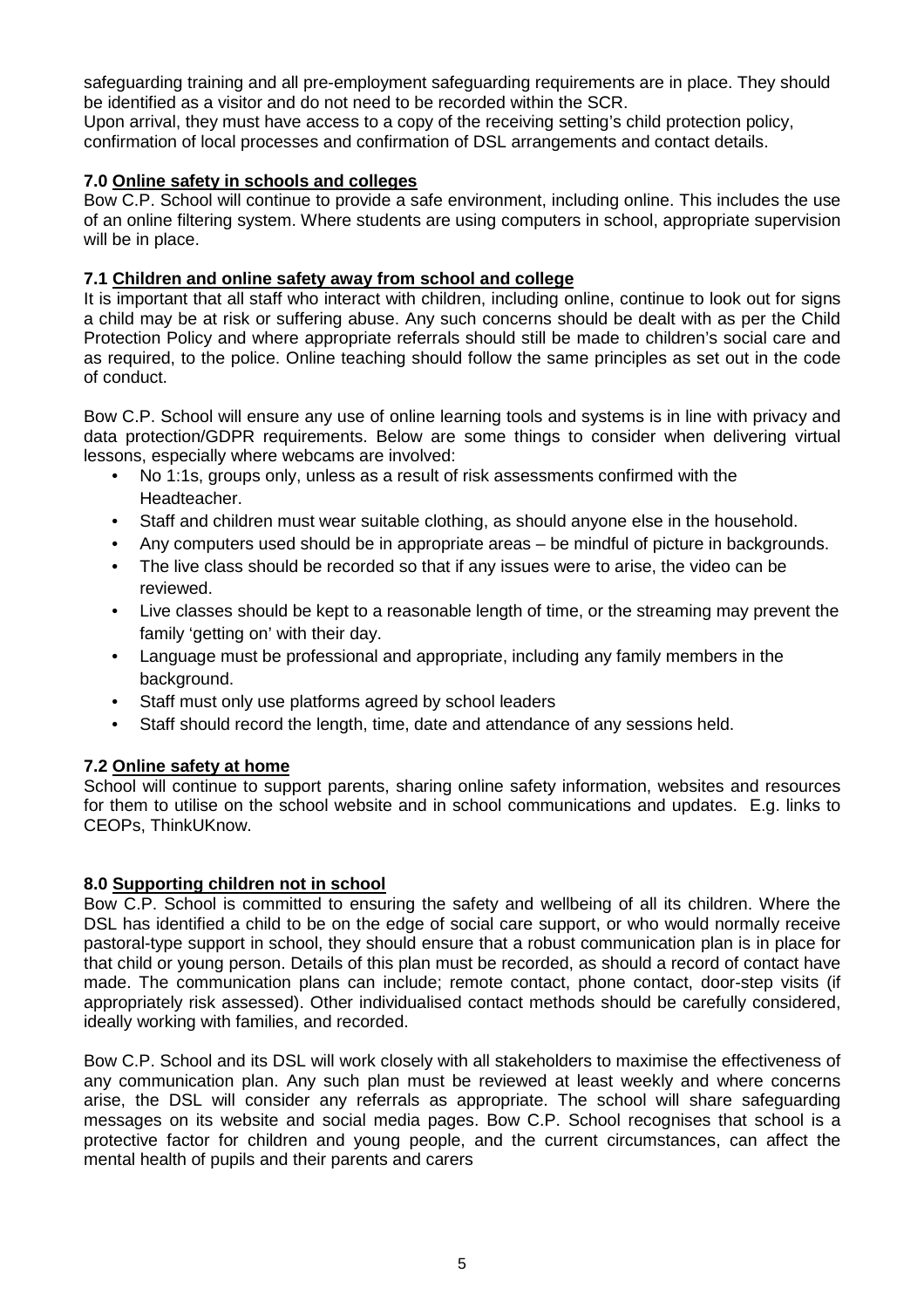safeguarding training and all pre-employment safeguarding requirements are in place. They should be identified as a visitor and do not need to be recorded within the SCR.

Upon arrival, they must have access to a copy of the receiving setting's child protection policy, confirmation of local processes and confirmation of DSL arrangements and contact details.

## **7.0 Online safety in schools and colleges**

Bow C.P. School will continue to provide a safe environment, including online. This includes the use of an online filtering system. Where students are using computers in school, appropriate supervision will be in place.

## **7.1 Children and online safety away from school and college**

It is important that all staff who interact with children, including online, continue to look out for signs a child may be at risk or suffering abuse. Any such concerns should be dealt with as per the Child Protection Policy and where appropriate referrals should still be made to children's social care and as required, to the police. Online teaching should follow the same principles as set out in the code of conduct.

Bow C.P. School will ensure any use of online learning tools and systems is in line with privacy and data protection/GDPR requirements. Below are some things to consider when delivering virtual lessons, especially where webcams are involved:

- No 1:1s, groups only, unless as a result of risk assessments confirmed with the Headteacher.
- Staff and children must wear suitable clothing, as should anyone else in the household.
- Any computers used should be in appropriate areas be mindful of picture in backgrounds.
- The live class should be recorded so that if any issues were to arise, the video can be reviewed.
- Live classes should be kept to a reasonable length of time, or the streaming may prevent the family 'getting on' with their day.
- Language must be professional and appropriate, including any family members in the background.
- Staff must only use platforms agreed by school leaders
- Staff should record the length, time, date and attendance of any sessions held.

# **7.2 Online safety at home**

School will continue to support parents, sharing online safety information, websites and resources for them to utilise on the school website and in school communications and updates. E.g. links to CEOPs, ThinkUKnow.

### **8.0 Supporting children not in school**

Bow C.P. School is committed to ensuring the safety and wellbeing of all its children. Where the DSL has identified a child to be on the edge of social care support, or who would normally receive pastoral-type support in school, they should ensure that a robust communication plan is in place for that child or young person. Details of this plan must be recorded, as should a record of contact have made. The communication plans can include; remote contact, phone contact, door-step visits (if appropriately risk assessed). Other individualised contact methods should be carefully considered, ideally working with families, and recorded.

Bow C.P. School and its DSL will work closely with all stakeholders to maximise the effectiveness of any communication plan. Any such plan must be reviewed at least weekly and where concerns arise, the DSL will consider any referrals as appropriate. The school will share safeguarding messages on its website and social media pages. Bow C.P. School recognises that school is a protective factor for children and young people, and the current circumstances, can affect the mental health of pupils and their parents and carers